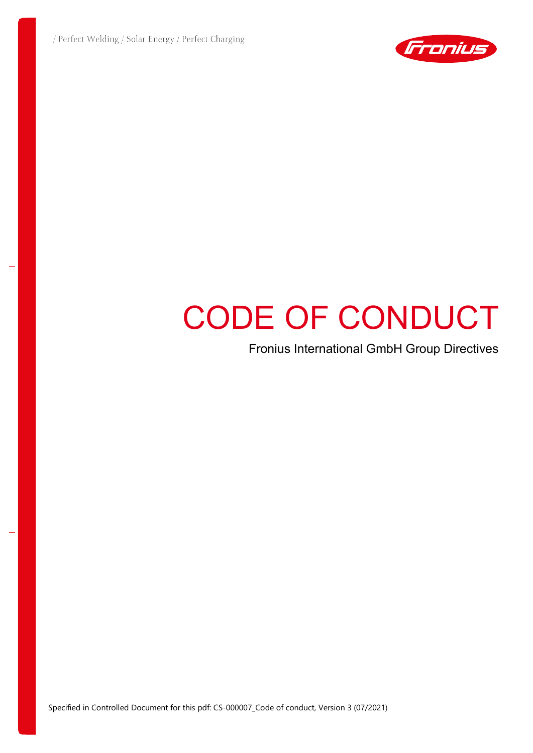

# CODE OF CONDUCT

Fronius International GmbH Group Directives

Specified in Controlled Document for this pdf: CS-000007\_Code of conduct, Version 3 (07/2021)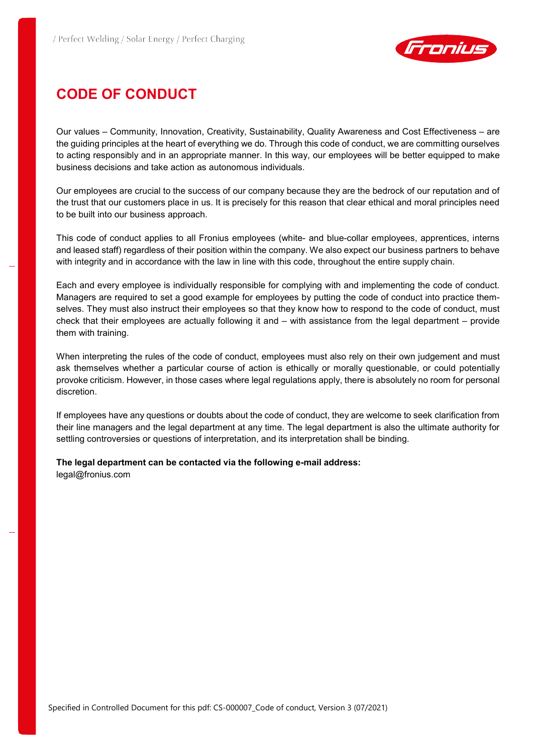

# **CODE OF CONDUCT**

Our values – Community, Innovation, Creativity, Sustainability, Quality Awareness and Cost Effectiveness – are the guiding principles at the heart of everything we do. Through this code of conduct, we are committing ourselves to acting responsibly and in an appropriate manner. In this way, our employees will be better equipped to make business decisions and take action as autonomous individuals.

Our employees are crucial to the success of our company because they are the bedrock of our reputation and of the trust that our customers place in us. It is precisely for this reason that clear ethical and moral principles need to be built into our business approach.

This code of conduct applies to all Fronius employees (white- and blue-collar employees, apprentices, interns and leased staff) regardless of their position within the company. We also expect our business partners to behave with integrity and in accordance with the law in line with this code, throughout the entire supply chain.

Each and every employee is individually responsible for complying with and implementing the code of conduct. Managers are required to set a good example for employees by putting the code of conduct into practice themselves. They must also instruct their employees so that they know how to respond to the code of conduct, must check that their employees are actually following it and – with assistance from the legal department – provide them with training.

When interpreting the rules of the code of conduct, employees must also rely on their own judgement and must ask themselves whether a particular course of action is ethically or morally questionable, or could potentially provoke criticism. However, in those cases where legal regulations apply, there is absolutely no room for personal discretion.

If employees have any questions or doubts about the code of conduct, they are welcome to seek clarification from their line managers and the legal department at any time. The legal department is also the ultimate authority for settling controversies or questions of interpretation, and its interpretation shall be binding.

#### **The legal department can be contacted via the following e-mail address:**

[legal@fronius.com](mailto:legal@fronius.com)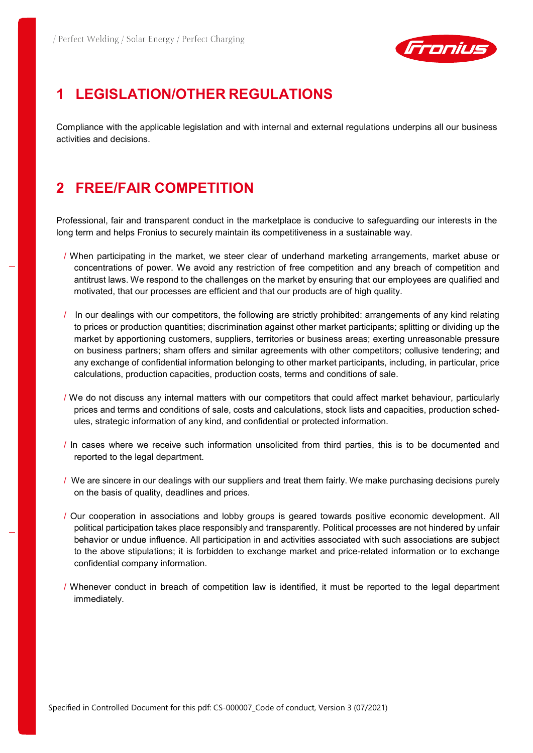

### **1 LEGISLATION/OTHER REGULATIONS**

Compliance with the applicable legislation and with internal and external regulations underpins all our business activities and decisions.

#### **2 FREE/FAIR COMPETITION**

Professional, fair and transparent conduct in the marketplace is conducive to safeguarding our interests in the long term and helps Fronius to securely maintain its competitiveness in a sustainable way.

- / When participating in the market, we steer clear of underhand marketing arrangements, market abuse or concentrations of power. We avoid any restriction of free competition and any breach of competition and antitrust laws. We respond to the challenges on the market by ensuring that our employees are qualified and motivated, that our processes are efficient and that our products are of high quality.
- / In our dealings with our competitors, the following are strictly prohibited: arrangements of any kind relating to prices or production quantities; discrimination against other market participants; splitting or dividing up the market by apportioning customers, suppliers, territories or business areas; exerting unreasonable pressure on business partners; sham offers and similar agreements with other competitors; collusive tendering; and any exchange of confidential information belonging to other market participants, including, in particular, price calculations, production capacities, production costs, terms and conditions of sale.
- / We do not discuss any internal matters with our competitors that could affect market behaviour, particularly prices and terms and conditions of sale, costs and calculations, stock lists and capacities, production schedules, strategic information of any kind, and confidential or protected information.
- / In cases where we receive such information unsolicited from third parties, this is to be documented and reported to the legal department.
- / We are sincere in our dealings with our suppliers and treat them fairly. We make purchasing decisions purely on the basis of quality, deadlines and prices.
- / Our cooperation in associations and lobby groups is geared towards positive economic development. All political participation takes place responsibly and transparently. Political processes are not hindered by unfair behavior or undue influence. All participation in and activities associated with such associations are subject to the above stipulations; it is forbidden to exchange market and price-related information or to exchange confidential company information.
- / Whenever conduct in breach of competition law is identified, it must be reported to the legal department immediately.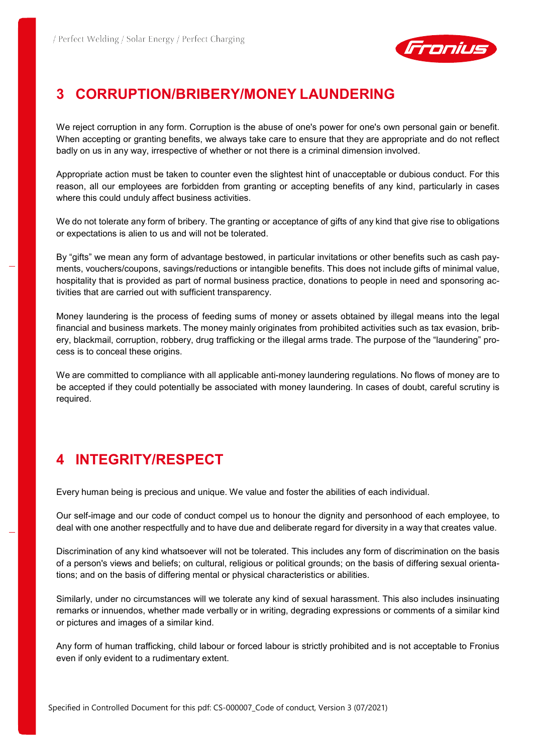

# **3 CORRUPTION/BRIBERY/MONEY LAUNDERING**

We reject corruption in any form. Corruption is the abuse of one's power for one's own personal gain or benefit. When accepting or granting benefits, we always take care to ensure that they are appropriate and do not reflect badly on us in any way, irrespective of whether or not there is a criminal dimension involved.

Appropriate action must be taken to counter even the slightest hint of unacceptable or dubious conduct. For this reason, all our employees are forbidden from granting or accepting benefits of any kind, particularly in cases where this could unduly affect business activities.

We do not tolerate any form of bribery. The granting or acceptance of gifts of any kind that give rise to obligations or expectations is alien to us and will not be tolerated.

By "gifts" we mean any form of advantage bestowed, in particular invitations or other benefits such as cash payments, vouchers/coupons, savings/reductions or intangible benefits. This does not include gifts of minimal value, hospitality that is provided as part of normal business practice, donations to people in need and sponsoring activities that are carried out with sufficient transparency.

Money laundering is the process of feeding sums of money or assets obtained by illegal means into the legal financial and business markets. The money mainly originates from prohibited activities such as tax evasion, bribery, blackmail, corruption, robbery, drug trafficking or the illegal arms trade. The purpose of the "laundering" process is to conceal these origins.

We are committed to compliance with all applicable anti-money laundering regulations. No flows of money are to be accepted if they could potentially be associated with money laundering. In cases of doubt, careful scrutiny is required.

# **4 INTEGRITY/RESPECT**

Every human being is precious and unique. We value and foster the abilities of each individual.

Our self-image and our code of conduct compel us to honour the dignity and personhood of each employee, to deal with one another respectfully and to have due and deliberate regard for diversity in a way that creates value.

Discrimination of any kind whatsoever will not be tolerated. This includes any form of discrimination on the basis of a person's views and beliefs; on cultural, religious or political grounds; on the basis of differing sexual orientations; and on the basis of differing mental or physical characteristics or abilities.

Similarly, under no circumstances will we tolerate any kind of sexual harassment. This also includes insinuating remarks or innuendos, whether made verbally or in writing, degrading expressions or comments of a similar kind or pictures and images of a similar kind.

Any form of human trafficking, child labour or forced labour is strictly prohibited and is not acceptable to Fronius even if only evident to a rudimentary extent.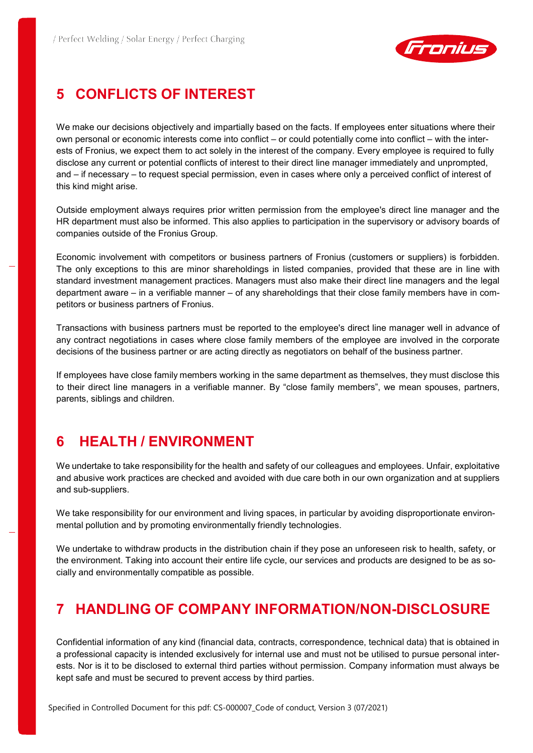

# **5 CONFLICTS OF INTEREST**

We make our decisions objectively and impartially based on the facts. If employees enter situations where their own personal or economic interests come into conflict – or could potentially come into conflict – with the interests of Fronius, we expect them to act solely in the interest of the company. Every employee is required to fully disclose any current or potential conflicts of interest to their direct line manager immediately and unprompted, and – if necessary – to request special permission, even in cases where only a perceived conflict of interest of this kind might arise.

Outside employment always requires prior written permission from the employee's direct line manager and the HR department must also be informed. This also applies to participation in the supervisory or advisory boards of companies outside of the Fronius Group.

Economic involvement with competitors or business partners of Fronius (customers or suppliers) is forbidden. The only exceptions to this are minor shareholdings in listed companies, provided that these are in line with standard investment management practices. Managers must also make their direct line managers and the legal department aware – in a verifiable manner – of any shareholdings that their close family members have in competitors or business partners of Fronius.

Transactions with business partners must be reported to the employee's direct line manager well in advance of any contract negotiations in cases where close family members of the employee are involved in the corporate decisions of the business partner or are acting directly as negotiators on behalf of the business partner.

If employees have close family members working in the same department as themselves, they must disclose this to their direct line managers in a verifiable manner. By "close family members", we mean spouses, partners, parents, siblings and children.

### **6 HEALTH / ENVIRONMENT**

We undertake to take responsibility for the health and safety of our colleagues and employees. Unfair, exploitative and abusive work practices are checked and avoided with due care both in our own organization and at suppliers and sub-suppliers.

We take responsibility for our environment and living spaces, in particular by avoiding disproportionate environmental pollution and by promoting environmentally friendly technologies.

We undertake to withdraw products in the distribution chain if they pose an unforeseen risk to health, safety, or the environment. Taking into account their entire life cycle, our services and products are designed to be as socially and environmentally compatible as possible.

### **7 HANDLING OF COMPANY INFORMATION/NON-DISCLOSURE**

Confidential information of any kind (financial data, contracts, correspondence, technical data) that is obtained in a professional capacity is intended exclusively for internal use and must not be utilised to pursue personal interests. Nor is it to be disclosed to external third parties without permission. Company information must always be kept safe and must be secured to prevent access by third parties.